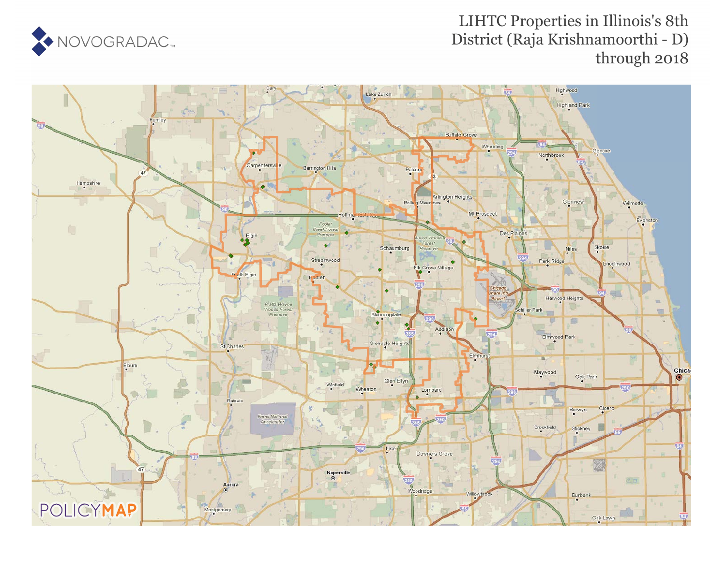

## LIHTC Properties in Illinois's 8th District (Raja Krishnamoorthi - D) through 2018

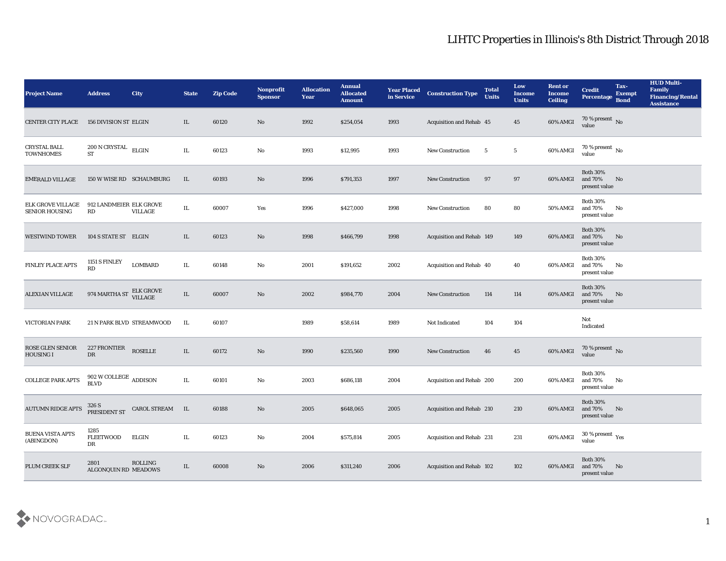## LIHTC Properties in Illinois's 8th District Through 2018

| <b>Project Name</b>                               | <b>Address</b>                                   | <b>City</b>               | <b>State</b> | <b>Zip Code</b> | Nonprofit<br><b>Sponsor</b> | <b>Allocation</b><br><b>Year</b> | <b>Annual</b><br><b>Allocated</b><br><b>Amount</b> | <b>Year Placed</b><br>in Service | <b>Construction Type</b>         | <b>Total</b><br><b>Units</b> | Low<br><b>Income</b><br><b>Units</b> | <b>Rent or</b><br><b>Income</b><br><b>Ceiling</b> | <b>Credit</b><br>Percentage Bond               | Tax-<br><b>Exempt</b> | <b>HUD Multi-</b><br>Family<br><b>Financing/Rental</b><br><b>Assistance</b> |
|---------------------------------------------------|--------------------------------------------------|---------------------------|--------------|-----------------|-----------------------------|----------------------------------|----------------------------------------------------|----------------------------------|----------------------------------|------------------------------|--------------------------------------|---------------------------------------------------|------------------------------------------------|-----------------------|-----------------------------------------------------------------------------|
| <b>CENTER CITY PLACE</b>                          | <b>156 DIVISION ST ELGIN</b>                     |                           | IL           | 60120           | No                          | 1992                             | \$254,054                                          | 1993                             | Acquisition and Rehab 45         |                              | 45                                   | 60% AMGI                                          | 70 % present No value                          |                       |                                                                             |
| <b>CRYSTAL BALL</b><br><b>TOWNHOMES</b>           | $200$ N CRYSTAL $\quad$ ELGIN<br><b>ST</b>       |                           | IL           | 60123           | No                          | 1993                             | \$12,995                                           | 1993                             | <b>New Construction</b>          | 5                            | $5\phantom{.0}$                      | 60% AMGI                                          | $70\,\%$ present $\,$ No value                 |                       |                                                                             |
| <b>EMERALD VILLAGE</b>                            |                                                  | 150 W WISE RD SCHAUMBURG  | IL           | 60193           | No                          | 1996                             | \$791,353                                          | 1997                             | <b>New Construction</b>          | 97                           | 97                                   | 60% AMGI                                          | <b>Both 30%</b><br>and 70%<br>present value    | No                    |                                                                             |
| <b>ELK GROVE VILLAGE</b><br><b>SENIOR HOUSING</b> | 912 LANDMEIER ELK GROVE<br>RD                    | <b>VILLAGE</b>            | IL           | 60007           | Yes                         | 1996                             | \$427,000                                          | 1998                             | <b>New Construction</b>          | 80                           | 80                                   | <b>50% AMGI</b>                                   | <b>Both 30%</b><br>and $70\%$<br>present value | No                    |                                                                             |
| <b>WESTWIND TOWER</b>                             | 104 S STATE ST ELGIN                             |                           | IL           | 60123           | No                          | 1998                             | \$466,799                                          | 1998                             | <b>Acquisition and Rehab 149</b> |                              | 149                                  | 60% AMGI                                          | <b>Both 30%</b><br>and 70%<br>present value    | No                    |                                                                             |
| FINLEY PLACE APTS                                 | 1151 S FINLEY<br>RD                              | <b>LOMBARD</b>            | IL           | 60148           | No                          | 2001                             | \$191,652                                          | 2002                             | <b>Acquisition and Rehab 40</b>  |                              | 40                                   | 60% AMGI                                          | <b>Both 30%</b><br>and 70%<br>present value    | No                    |                                                                             |
| <b>ALEXIAN VILLAGE</b>                            | 974 MARTHA ST                                    | ELK GROVE<br>VILLAGE      | $\rm IL$     | 60007           | No                          | 2002                             | \$984,770                                          | 2004                             | <b>New Construction</b>          | 114                          | 114                                  | 60% AMGI                                          | <b>Both 30%</b><br>and $70\%$<br>present value | No                    |                                                                             |
| <b>VICTORIAN PARK</b>                             |                                                  | 21 N PARK BLVD STREAMWOOD | IL           | 60107           |                             | 1989                             | \$58,614                                           | 1989                             | Not Indicated                    | 104                          | 104                                  |                                                   | Not<br>Indicated                               |                       |                                                                             |
| <b>ROSE GLEN SENIOR</b><br><b>HOUSING I</b>       | 227 FRONTIER<br>DR                               | <b>ROSELLE</b>            | IL           | 60172           | No                          | 1990                             | \$235,560                                          | 1990                             | <b>New Construction</b>          | 46                           | 45                                   | 60% AMGI                                          | $70$ % present $_{\rm{No}}$                    |                       |                                                                             |
| <b>COLLEGE PARK APTS</b>                          | $902$ W COLLEGE $\,$ ADDISON $\,$<br><b>BLVD</b> |                           | IL           | 60101           | No                          | 2003                             | \$686,118                                          | 2004                             | Acquisition and Rehab 200        |                              | 200                                  | 60% AMGI                                          | <b>Both 30%</b><br>and 70%<br>present value    | No                    |                                                                             |
| <b>AUTUMN RIDGE APTS</b>                          | 326 S<br>PRESIDENT ST                            | CAROL STREAM IL           |              | 60188           | No                          | 2005                             | \$648,065                                          | 2005                             | Acquisition and Rehab 210        |                              | 210                                  | 60% AMGI and 70%                                  | <b>Both 30%</b><br>present value               | No                    |                                                                             |
| <b>BUENA VISTA APTS</b><br>(ABINGDON)             | 1285<br><b>FLEETWOOD</b><br>DR                   | <b>ELGIN</b>              | $\rm IL$     | 60123           | $\rm\, No$                  | 2004                             | \$575,814                                          | 2005                             | Acquisition and Rehab 231        |                              | 231                                  | 60% AMGI                                          | $30\,\%$ present $\,$ Yes value                |                       |                                                                             |
| PLUM CREEK SLF                                    | 2801<br>ALGONQUIN RD MEADOWS                     | ROLLING                   | $\rm IL$     | 60008           | $\rm \bf No$                | 2006                             | \$311,240                                          | 2006                             | Acquisition and Rehab 102        |                              | 102                                  | 60% AMGI                                          | <b>Both 30%</b><br>and 70%<br>present value    | No                    |                                                                             |

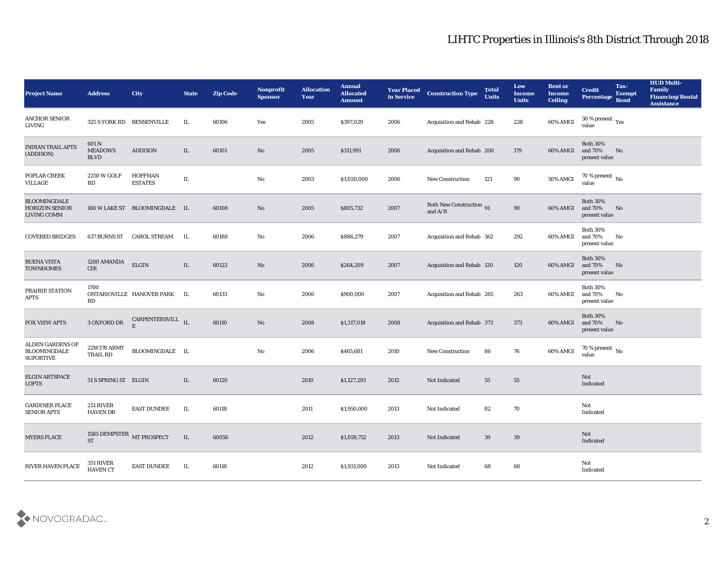## LIHTC Properties in Illinois's 8th District Through 2018

| <b>Project Name</b>                                         | <b>Address</b>                         | <b>City</b>                                                                          | <b>State</b> | <b>Zip Code</b> | Nonprofit<br><b>Sponsor</b> | <b>Allocation</b><br><b>Year</b> | <b>Annual</b><br><b>Allocated</b><br><b>Amount</b> | <b>Year Placed</b><br>in Service | <b>Construction Type</b>                     | <b>Total</b><br><b>Units</b> | Low<br><b>Income</b><br><b>Units</b> | <b>Rent or</b><br>Income<br><b>Ceiling</b> | <b>Credit</b><br><b>Percentage</b>          | Tax-<br><b>Exempt</b><br><b>Bond</b> | <b>HUD Multi-</b><br>Family<br><b>Financing/Rental</b><br><b>Assistance</b> |
|-------------------------------------------------------------|----------------------------------------|--------------------------------------------------------------------------------------|--------------|-----------------|-----------------------------|----------------------------------|----------------------------------------------------|----------------------------------|----------------------------------------------|------------------------------|--------------------------------------|--------------------------------------------|---------------------------------------------|--------------------------------------|-----------------------------------------------------------------------------|
| <b>ANCHOR SENIOR</b><br>LIVING                              | 325 S YORK RD BENSENVILLE              |                                                                                      | IL           | 60106           | Yes                         | 2005                             | \$397,029                                          | 2006                             | Acquisition and Rehab 228                    |                              | 228                                  | 60% AMGI                                   | $30\,\%$ present $\,\mathrm{Yes}$<br>value  |                                      |                                                                             |
| INDIAN TRAIL APTS<br>(ADDISON)                              | 601 N<br><b>MEADOWS</b><br><b>BLVD</b> | <b>ADDISON</b>                                                                       | IL           | 60101           | No                          | 2005                             | \$311,991                                          | 2006                             | Acquisition and Rehab 200                    |                              | 179                                  | 60% AMGI                                   | <b>Both 30%</b><br>and 70%<br>present value | No                                   |                                                                             |
| POPLAR CREEK<br>VILLAGE                                     | <b>2250 W GOLF</b><br><b>RD</b>        | <b>HOFFMAN</b><br><b>ESTATES</b>                                                     | IL           |                 | No                          | 2003                             | \$1,020,000                                        | 2006                             | <b>New Construction</b>                      | 121                          | 90                                   | 50% AMGI                                   | 70 % present $\,$ No $\,$<br>value          |                                      |                                                                             |
| <b>BLOOMINGDALE</b><br><b>HORIZON SENIOR</b><br>LIVING COMM |                                        | 160 W LAKE ST BLOOMINGDALE IL                                                        |              | 60108           | No                          | 2005                             | \$805,732                                          | 2007                             | <b>Both New Construction</b> 91<br>and $A/R$ |                              | 90                                   | 60% AMGI                                   | <b>Both 30%</b><br>and 70%<br>present value | No                                   |                                                                             |
| <b>COVERED BRIDGES</b>                                      | 637 BURNS ST                           | CAROL STREAM                                                                         | IL           | 60188           | $\mathbf{No}$               | 2006                             | \$886,279                                          | 2007                             | Acquisition and Rehab 362                    |                              | 292                                  | 60% AMGI                                   | <b>Both 30%</b><br>and 70%<br>present value | No                                   |                                                                             |
| <b>BUENA VISTA</b><br><b>TOWNHOMES</b>                      | 1200 AMANDA<br><b>CIR</b>              | <b>ELGIN</b>                                                                         | IL           | 60123           | No                          | 2006                             | \$264,209                                          | 2007                             | Acquisition and Rehab 120                    |                              | 120                                  | 60% AMGI                                   | <b>Both 30%</b><br>and 70%<br>present value | No                                   |                                                                             |
| PRAIRIE STATION<br>APTS                                     | 1700<br>RD                             | ONTARIOVILLE HANOVER PARK                                                            | IL.          | 60133           | No                          | 2006                             | \$900,000                                          | 2007                             | Acquisition and Rehab 265                    |                              | 263                                  | 60% AMGI                                   | <b>Both 30%</b><br>and 70%<br>present value | No                                   |                                                                             |
| <b>FOX VIEW APTS</b>                                        | 3 OXFORD DR                            | $\begin{tabular}{ll} \bf{CARPENTERSVILL} & \bf{IL} \\ \end{tabular}$<br>$\mathbf{E}$ |              | 60110           | No                          | 2008                             | \$1,317,018                                        | 2008                             | Acquisition and Rehab 373                    |                              | 373                                  | 60% AMGI                                   | <b>Both 30%</b><br>and 70%<br>present value | No                                   |                                                                             |
| ALDEN GARDENS OF<br><b>BLOOMINGDALE</b><br><b>SUPORTIVE</b> | 22W378 ARMY<br><b>TRAIL RD</b>         | BLOOMINGDALE IL                                                                      |              |                 | $\mathbf{N}\mathbf{o}$      | 2006                             | \$465,681                                          | 2010                             | <b>New Construction</b>                      | 86                           | 76                                   | 60% AMGI                                   | 70 % present $\,$ No $\,$<br>value          |                                      |                                                                             |
| <b>ELGIN ARTSPACE</b><br><b>LOFTS</b>                       | 51 S SPRING ST ELGIN                   |                                                                                      | IL           | 60120           |                             | 2010                             | \$1,127,293                                        | 2012                             | Not Indicated                                | 55                           | 55                                   |                                            | Not<br>Indicated                            |                                      |                                                                             |
| <b>GARDINER PLACE</b><br><b>SENIOR APTS</b>                 | 251 RIVER<br><b>HAVEN DR</b>           | <b>EAST DUNDEE</b>                                                                   | IL           | 60118           |                             | 2011                             | \$1,950,000                                        | 2013                             | Not Indicated                                | 82                           | 70                                   |                                            | Not<br>Indicated                            |                                      |                                                                             |
| <b>MYERS PLACE</b>                                          | 1585 DEMPSTER $\,$ MT PROSPECT ST      |                                                                                      | $\rm IL$     | 60056           |                             | 2012                             | \$1,059,752                                        | 2013                             | Not Indicated                                | 39                           | 39                                   |                                            | Not<br>Indicated                            |                                      |                                                                             |
| RIVER HAVEN PLACE                                           | 351 RIVER<br>HAVEN CT                  | <b>EAST DUNDEE</b>                                                                   | $\;$ IL      | 60118           |                             | 2012                             | \$1,931,000                                        | 2013                             | Not Indicated                                | 68                           | 68                                   |                                            | Not<br>Indicated                            |                                      |                                                                             |